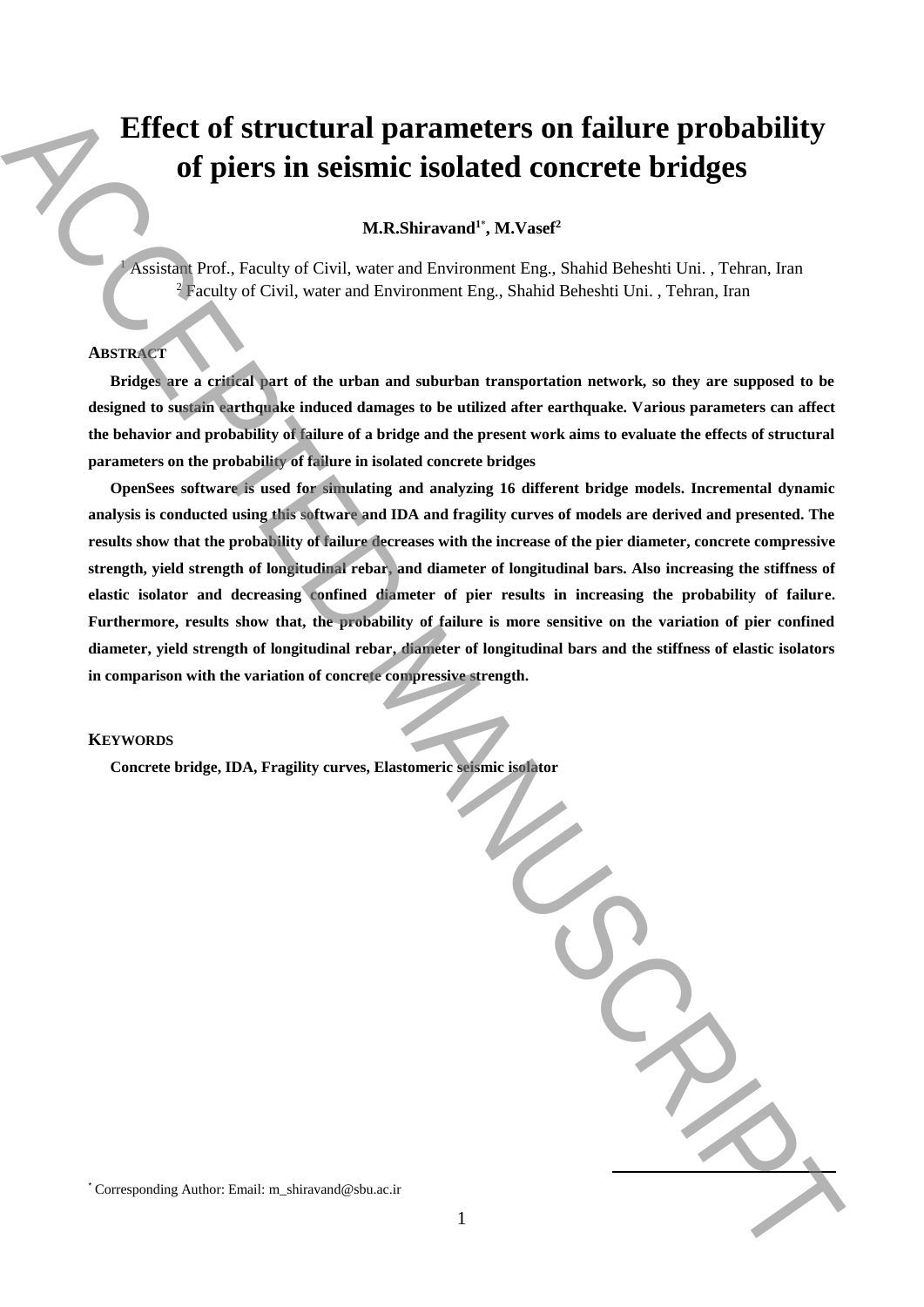# **Effect of structural parameters on failure probability of piers in seismic isolated concrete bridges**

# **M.R.Shiravand<sup>1</sup>**\* **, M.Vasef<sup>2</sup>**

<sup>1</sup> Assistant Prof., Faculty of Civil, water and Environment Eng., Shahid Beheshti Uni. , Tehran, Iran <sup>2</sup> Faculty of Civil, water and Environment Eng., Shahid Beheshti Uni. , Tehran, Iran

## **ABSTRACT**

**Bridges are a critical part of the urban and suburban transportation network, so they are supposed to be designed to sustain earthquake induced damages to be utilized after earthquake. Various parameters can affect the behavior and probability of failure of a bridge and the present work aims to evaluate the effects of structural parameters on the probability of failure in isolated concrete bridges** 

**OpenSees software is used for simulating and analyzing 16 different bridge models. Incremental dynamic analysis is conducted using this software and IDA and fragility curves of models are derived and presented. The results show that the probability of failure decreases with the increase of the pier diameter, concrete compressive strength, yield strength of longitudinal rebar, and diameter of longitudinal bars. Also increasing the stiffness of elastic isolator and decreasing confined diameter of pier results in increasing the probability of failure. Furthermore, results show that, the probability of failure is more sensitive on the variation of pier confined diameter, yield strength of longitudinal rebar, diameter of longitudinal bars and the stiffness of elastic isolators in comparison with the variation of concrete compressive strength. Effect of structural parameters on failure probability**<br>
of piers in seismic isolated concrete bridges<br>
MANUSCRIPT (Follow and anticomore line, Shahid Behealt Unit, Thom, Italy<br>
Austin dictal Technique is a proposed to b

### **KEYWORDS**

**Concrete bridge, IDA, Fragility curves, Elastomeric seismic isolator**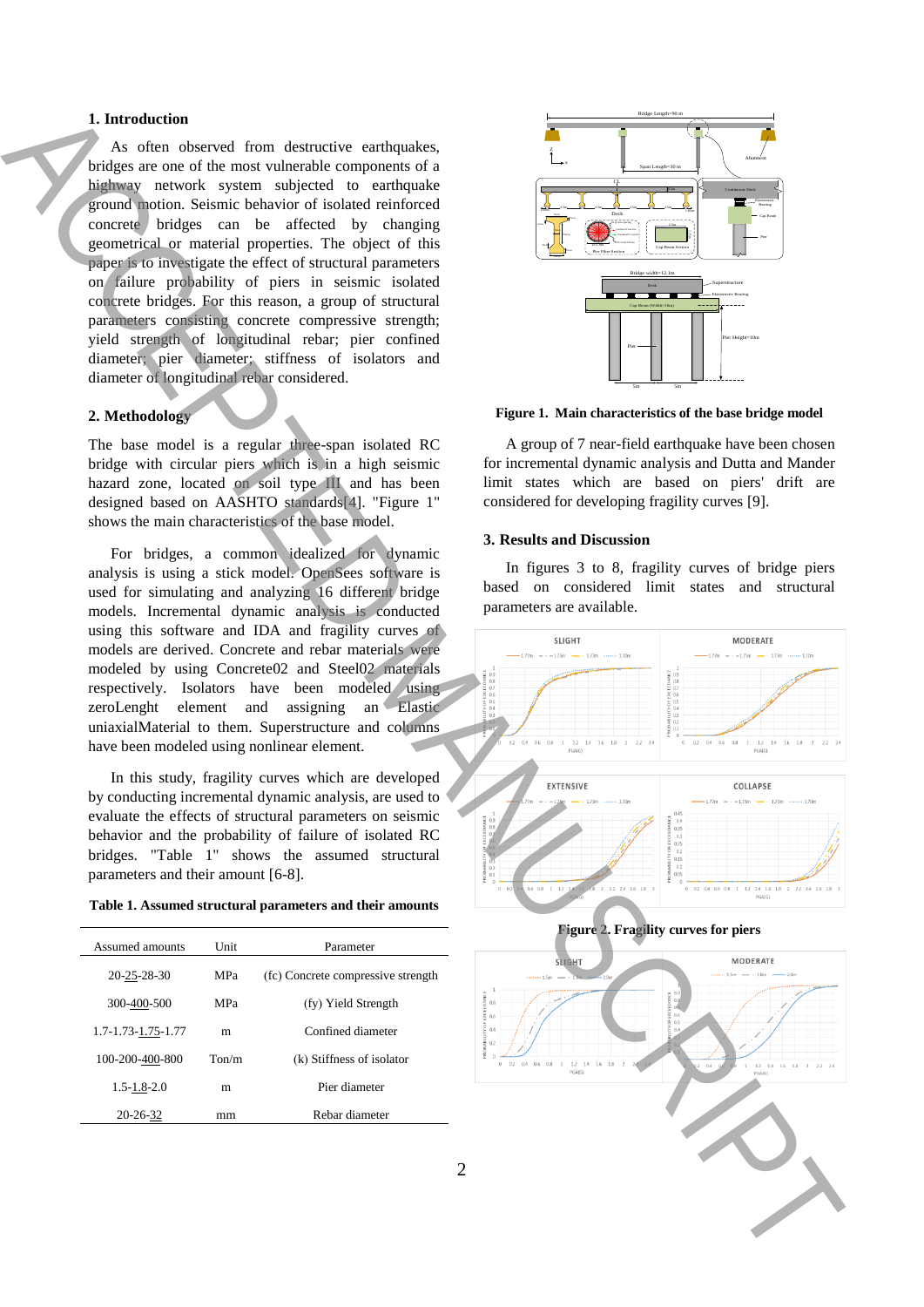## **1. Introduction**

As often observed from destructive earthquakes, bridges are one of the most vulnerable components of a highway network system subjected to earthquake ground motion. Seismic behavior of isolated reinforced concrete bridges can be affected by changing geometrical or material properties. The object of this paper is to investigate the effect of structural parameters on failure probability of piers in seismic isolated concrete bridges. For this reason, a group of structural parameters consisting concrete compressive strength; yield strength of longitudinal rebar; pier confined diameter; pier diameter; stiffness of isolators and diameter of longitudinal rebar considered.

## **2. Methodology**

The base model is a regular three-span isolated RC bridge with circular piers which is in a high seismic hazard zone, located on soil type III and has been designed based on AASHTO standards[4]. "Figure 1" shows the main characteristics of the base model.

For bridges, a common idealized for dynamic analysis is using a stick model. OpenSees software is used for simulating and analyzing 16 different bridge models. Incremental dynamic analysis is conducted using this software and IDA and fragility curves of models are derived. Concrete and rebar materials were modeled by using Concrete02 and Steel02 materials respectively. Isolators have been modeled using zeroLenght element and assigning an Elastic uniaxialMaterial to them. Superstructure and columns have been modeled using nonlinear element.

In this study, fragility curves which are developed by conducting incremental dynamic analysis, are used to evaluate the effects of structural parameters on seismic behavior and the probability of failure of isolated RC bridges. "Table 1" shows the assumed structural parameters and their amount [6-8].



| Assumed amounts    | Unit.             | Parameter                          |
|--------------------|-------------------|------------------------------------|
| 20-25-28-30        | <b>MPa</b>        | (fc) Concrete compressive strength |
| 300-400-500        | <b>MPa</b>        | (fy) Yield Strength                |
| 1.7-1.73-1.75-1.77 | m                 | Confined diameter                  |
| 100-200-400-800    | T <sub>on/m</sub> | (k) Stiffness of isolator          |
| $1.5 - 1.8 - 2.0$  | m                 | Pier diameter                      |
| 20-26-32           | mm                | Rebar diameter                     |
|                    |                   |                                    |



**Figure 1. Main characteristics of the base bridge model**

A group of 7 near-field earthquake have been chosen for incremental dynamic analysis and Dutta and Mander limit states which are based on piers' drift are considered for developing fragility curves [9].

#### **3. Results and Discussion**

In figures 3 to 8, fragility curves of bridge piers based on considered limit states and structural parameters are available.